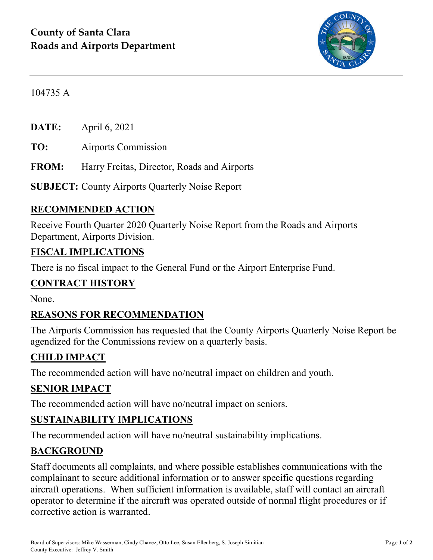

104735 A

**DATE:** April 6, 2021

**TO:** Airports Commission

**FROM:** Harry Freitas, Director, Roads and Airports

**SUBJECT:** County Airports Quarterly Noise Report

#### **RECOMMENDED ACTION**

Receive Fourth Quarter 2020 Quarterly Noise Report from the Roads and Airports Department, Airports Division.

#### **FISCAL IMPLICATIONS**

There is no fiscal impact to the General Fund or the Airport Enterprise Fund.

#### **CONTRACT HISTORY**

None.

### **REASONS FOR RECOMMENDATION**

The Airports Commission has requested that the County Airports Quarterly Noise Report be agendized for the Commissions review on a quarterly basis.

### **CHILD IMPACT**

The recommended action will have no/neutral impact on children and youth.

### **SENIOR IMPACT**

The recommended action will have no/neutral impact on seniors.

### **SUSTAINABILITY IMPLICATIONS**

The recommended action will have no/neutral sustainability implications.

#### **BACKGROUND**

Staff documents all complaints, and where possible establishes communications with the complainant to secure additional information or to answer specific questions regarding aircraft operations. When sufficient information is available, staff will contact an aircraft operator to determine if the aircraft was operated outside of normal flight procedures or if corrective action is warranted.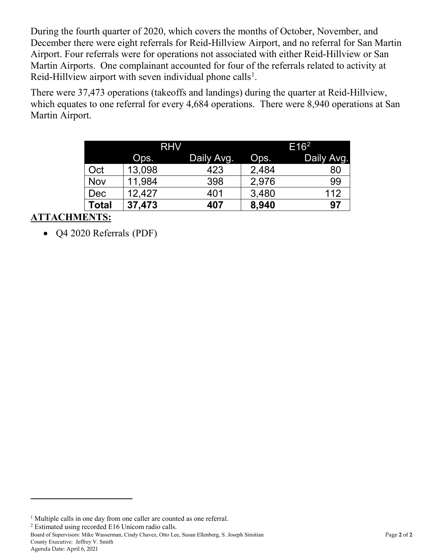During the fourth quarter of 2020, which covers the months of October, November, and December there were eight referrals for Reid-Hillview Airport, and no referral for San Martin Airport. Four referrals were for operations not associated with either Reid-Hillview or San Martin Airports. One complainant accounted for four of the referrals related to activity at Reid-Hillview airport with seven individual phone calls<sup>[1](#page-1-0)</sup>.

There were 37,473 operations (takeoffs and landings) during the quarter at Reid-Hillview, which equates to one referral for every 4,684 operations. There were 8,940 operations at San Martin Airport.

|       | <b>RHV</b> |            | E16 <sup>2</sup> |            |
|-------|------------|------------|------------------|------------|
|       | Ops.       | Daily Avg. | Ops.             | Daily Avg. |
| Oct   | 13,098     | 423        | 2,484            | 80         |
| Nov   | 11,984     | 398        | 2,976            | 99         |
| Dec   | 12,427     | 401        | 3,480            | 112        |
| Total | 37,473     | 407        | 8,940            | 97         |

## **ATTACHMENTS:**

• Q4 2020 Referrals (PDF)

<span id="page-1-1"></span><sup>2</sup> Estimated using recorded E16 Unicom radio calls.

Board of Supervisors: Mike Wasserman, Cindy Chavez, Otto Lee, Susan Ellenberg, S. Joseph Simitian Page **2** of **2** County Executive: Jeffrey V. Smith

 $\overline{a}$ 

<span id="page-1-0"></span><sup>&</sup>lt;sup>1</sup> Multiple calls in one day from one caller are counted as one referral.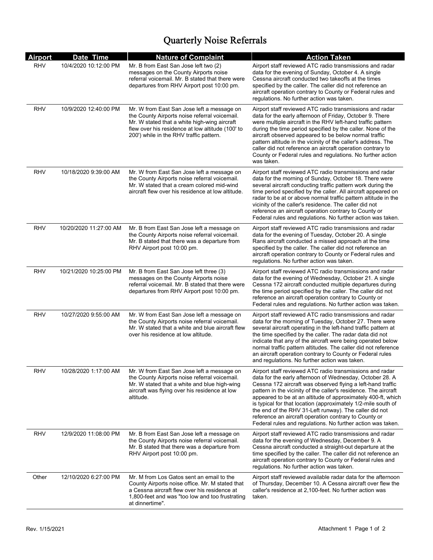# Quarterly Noise Referrals

| <b>Airport</b> | Date Time              | <b>Nature of Complaint</b>                                                                                                                                                                                                                 | <b>Action Taken</b>                                                                                                                                                                                                                                                                                                                                                                                                                                                                                                                                                       |
|----------------|------------------------|--------------------------------------------------------------------------------------------------------------------------------------------------------------------------------------------------------------------------------------------|---------------------------------------------------------------------------------------------------------------------------------------------------------------------------------------------------------------------------------------------------------------------------------------------------------------------------------------------------------------------------------------------------------------------------------------------------------------------------------------------------------------------------------------------------------------------------|
| <b>RHV</b>     | 10/4/2020 10:12:00 PM  | Mr. B from East San Jose left two (2)<br>messages on the County Airports noise<br>referral voicemail. Mr. B stated that there were<br>departures from RHV Airport post 10:00 pm.                                                           | Airport staff reviewed ATC radio transmissions and radar<br>data for the evening of Sunday, October 4. A single<br>Cessna aircraft conducted two takeoffs at the times<br>specified by the caller. The caller did not reference an<br>aircraft operation contrary to County or Federal rules and<br>regulations. No further action was taken.                                                                                                                                                                                                                             |
| <b>RHV</b>     | 10/9/2020 12:40:00 PM  | Mr. W from East San Jose left a message on<br>the County Airports noise referral voicemail.<br>Mr. W stated that a white high-wing aircraft<br>flew over his residence at low altitude (100' to<br>200') while in the RHV traffic pattern. | Airport staff reviewed ATC radio transmissions and radar<br>data for the early afternoon of Friday, October 9. There<br>were multiple aircraft in the RHV left-hand traffic pattern<br>during the time period specified by the caller. None of the<br>aircraft observed appeared to be below normal traffic<br>pattern altitude in the vicinity of the caller's address. The<br>caller did not reference an aircraft operation contrary to<br>County or Federal rules and regulations. No further action<br>was taken.                                                    |
| RHV            | 10/18/2020 9:39:00 AM  | Mr. W from East San Jose left a message on<br>the County Airports noise referral voicemail.<br>Mr. W stated that a cream colored mid-wind<br>aircraft flew over his residence at low altitude.                                             | Airport staff reviewed ATC radio transmissions and radar<br>data for the morning of Sunday, October 18. There were<br>several aircraft conducting traffic pattern work during the<br>time period specified by the caller. All aircraft appeared on<br>radar to be at or above normal traffic pattern altitude in the<br>vicinity of the caller's residence. The caller did not<br>reference an aircraft operation contrary to County or<br>Federal rules and regulations. No further action was taken.                                                                    |
| <b>RHV</b>     | 10/20/2020 11:27:00 AM | Mr. B from East San Jose left a message on<br>the County Airports noise referral voicemail.<br>Mr. B stated that there was a departure from<br>RHV Airport post 10:00 pm.                                                                  | Airport staff reviewed ATC radio transmissions and radar<br>data for the evening of Tuesday, October 20. A single<br>Rans aircraft conducted a missed approach at the time<br>specified by the caller. The caller did not reference an<br>aircraft operation contrary to County or Federal rules and<br>regulations. No further action was taken.                                                                                                                                                                                                                         |
| <b>RHV</b>     | 10/21/2020 10:25:00 PM | Mr. B from East San Jose left three (3)<br>messages on the County Airports noise<br>referral voicemail. Mr. B stated that there were<br>departures from RHV Airport post 10:00 pm.                                                         | Airport staff reviewed ATC radio transmissions and radar<br>data for the evening of Wednesday, October 21. A single<br>Cessna 172 aircraft conducted multiple departures during<br>the time period specified by the caller. The caller did not<br>reference an aircraft operation contrary to County or<br>Federal rules and regulations. No further action was taken.                                                                                                                                                                                                    |
| RHV            | 10/27/2020 9:55:00 AM  | Mr. W from East San Jose left a message on<br>the County Airports noise referral voicemail.<br>Mr. W stated that a white and blue aircraft flew<br>over his residence at low altitude.                                                     | Airport staff reviewed ATC radio transmissions and radar<br>data for the morning of Tuesday, October 27. There were<br>several aircraft operating in the left-hand traffic pattern at<br>the time specified by the caller. The radar data did not<br>indicate that any of the aircraft were being operated below<br>normal traffic pattern altitudes. The caller did not reference<br>an aircraft operation contrary to County or Federal rules<br>and regulations. No further action was taken.                                                                          |
| <b>RHV</b>     | 10/28/2020 1:17:00 AM  | Mr. W from East San Jose left a message on<br>the County Airports noise referral voicemail.<br>Mr. W stated that a white and blue high-wing<br>aircraft was flying over his residence at low<br>altitude.                                  | Airport staff reviewed ATC radio transmissions and radar<br>data for the early afternoon of Wednesday, October 28. A<br>Cessna 172 aircraft was observed flying a left-hand traffic<br>pattern in the vicinity of the caller's residence. The aircraft<br>appeared to be at an altitude of approximately 400-ft, which<br>is typical for that location (approximately 1/2-mile south of<br>the end of the RHV 31-Left runway). The caller did not<br>reference an aircraft operation contrary to County or<br>Federal rules and regulations. No further action was taken. |
| <b>RHV</b>     | 12/9/2020 11:08:00 PM  | Mr. B from East San Jose left a message on<br>the County Airports noise referral voicemail.<br>Mr. B stated that there was a departure from<br>RHV Airport post 10:00 pm.                                                                  | Airport staff reviewed ATC radio transmissions and radar<br>data for the evening of Wednesday, December 9. A<br>Cessna aircraft conducted a straight-out departure at the<br>time specified by the caller. The caller did not reference an<br>aircraft operation contrary to County or Federal rules and<br>regulations. No further action was taken.                                                                                                                                                                                                                     |
| Other          | 12/10/2020 6:27:00 PM  | Mr. M from Los Gatos sent an email to the<br>County Airports noise office. Mr. M stated that<br>a Cessna aircraft flew over his residence at<br>1,800-feet and was "too low and too frustrating<br>at dinnertime".                         | Airport staff reviewed available radar data for the afternoon<br>of Thursday, December 10. A Cessna aircraft over flew the<br>caller's residence at 2,100-feet. No further action was<br>taken.                                                                                                                                                                                                                                                                                                                                                                           |